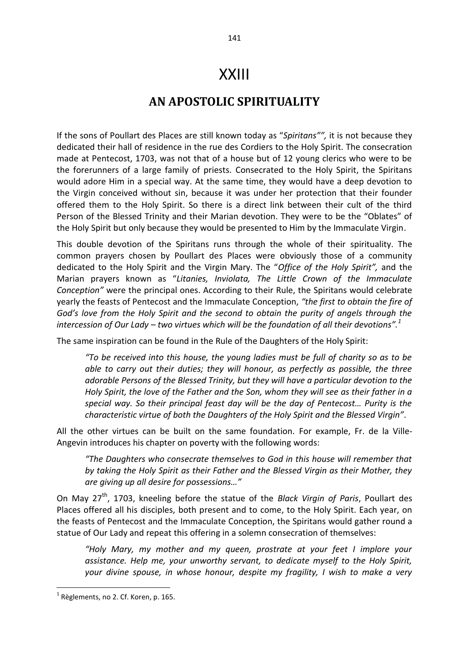## XXIII

## **AN APOSTOLIC SPIRITUALITY**

If the sons of Poullart des Places are still known today as "*Spiritans"",* it is not because they dedicated their hall of residence in the rue des Cordiers to the Holy Spirit. The consecration made at Pentecost, 1703, was not that of a house but of 12 young clerics who were to be the forerunners of a large family of priests. Consecrated to the Holy Spirit, the Spiritans would adore Him in a special way. At the same time, they would have a deep devotion to the Virgin conceived without sin, because it was under her protection that their founder offered them to the Holy Spirit. So there is a direct link between their cult of the third Person of the Blessed Trinity and their Marian devotion. They were to be the "Oblates" of the Holy Spirit but only because they would be presented to Him by the Immaculate Virgin.

This double devotion of the Spiritans runs through the whole of their spirituality. The common prayers chosen by Poullart des Places were obviously those of a community dedicated to the Holy Spirit and the Virgin Mary. The "*Office of the Holy Spirit",* and the Marian prayers known as "*Litanies, Inviolata, The Little Crown of the Immaculate Conception"* were the principal ones. According to their Rule, the Spiritans would celebrate yearly the feasts of Pentecost and the Immaculate Conception, *"the first to obtain the fire of God's love from the Holy Spirit and the second to obtain the purity of angels through the intercession of Our Lady – two virtues which will be the foundation of all their devotions".<sup>1</sup>*

The same inspiration can be found in the Rule of the Daughters of the Holy Spirit:

*"To be received into this house, the young ladies must be full of charity so as to be able to carry out their duties; they will honour, as perfectly as possible, the three adorable Persons of the Blessed Trinity, but they will have a particular devotion to the Holy Spirit, the love of the Father and the Son, whom they will see as their father in a special way. So their principal feast day will be the day of Pentecost… Purity is the characteristic virtue of both the Daughters of the Holy Spirit and the Blessed Virgin".* 

All the other virtues can be built on the same foundation*.* For example, Fr. de la Ville-Angevin introduces his chapter on poverty with the following words:

*"The Daughters who consecrate themselves to God in this house will remember that by taking the Holy Spirit as their Father and the Blessed Virgin as their Mother, they are giving up all desire for possessions…"*

On May 27th, 1703, kneeling before the statue of the *Black Virgin of Paris*, Poullart des Places offered all his disciples, both present and to come, to the Holy Spirit. Each year, on the feasts of Pentecost and the Immaculate Conception, the Spiritans would gather round a statue of Our Lady and repeat this offering in a solemn consecration of themselves:

*"Holy Mary, my mother and my queen, prostrate at your feet I implore your assistance. Help me, your unworthy servant, to dedicate myself to the Holy Spirit, your divine spouse, in whose honour, despite my fragility, I wish to make a very* 

 $<sup>1</sup>$  Règlements, no 2. Cf. Koren, p. 165.</sup>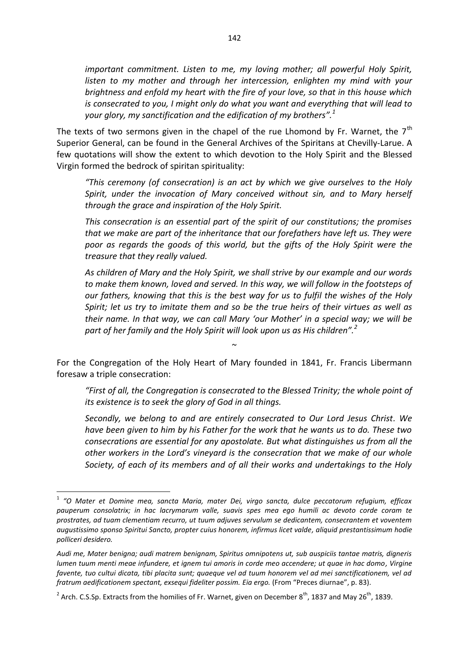*important commitment. Listen to me, my loving mother; all powerful Holy Spirit, listen to my mother and through her intercession, enlighten my mind with your brightness and enfold my heart with the fire of your love, so that in this house which is consecrated to you, I might only do what you want and everything that will lead to your glory, my sanctification and the edification of my brothers".<sup>1</sup>* 

The texts of two sermons given in the chapel of the rue Lhomond by Fr. Warnet, the  $7<sup>th</sup>$ Superior General, can be found in the General Archives of the Spiritans at Chevilly-Larue. A few quotations will show the extent to which devotion to the Holy Spirit and the Blessed Virgin formed the bedrock of spiritan spirituality:

*"This ceremony (of consecration) is an act by which we give ourselves to the Holy Spirit, under the invocation of Mary conceived without sin, and to Mary herself through the grace and inspiration of the Holy Spirit.* 

*This consecration is an essential part of the spirit of our constitutions; the promises that we make are part of the inheritance that our forefathers have left us. They were poor as regards the goods of this world, but the gifts of the Holy Spirit were the treasure that they really valued.* 

*As children of Mary and the Holy Spirit, we shall strive by our example and our words to make them known, loved and served. In this way, we will follow in the footsteps of our fathers, knowing that this is the best way for us to fulfil the wishes of the Holy Spirit; let us try to imitate them and so be the true heirs of their virtues as well as their name. In that way, we can call Mary 'our Mother' in a special way; we will be part of her family and the Holy Spirit will look upon us as His children".<sup>2</sup>* 

For the Congregation of the Holy Heart of Mary founded in 1841, Fr. Francis Libermann foresaw a triple consecration:

 $\sim$ 

*"First of all, the Congregation is consecrated to the Blessed Trinity; the whole point of its existence is to seek the glory of God in all things.* 

*Secondly, we belong to and are entirely consecrated to Our Lord Jesus Christ. We have been given to him by his Father for the work that he wants us to do. These two consecrations are essential for any apostolate. But what distinguishes us from all the other workers in the Lord's vineyard is the consecration that we make of our whole Society, of each of its members and of all their works and undertakings to the Holy* 

<sup>1</sup> *"O Mater et Domine mea, sancta Maria, mater Dei, virgo sancta, dulce peccatorum refugium, efficax pauperum consolatrix; in hac lacrymarum valle, suavis spes mea ego humili ac devoto corde coram te prostrates, ad tuam clementiam recurro, ut tuum adjuves servulum se dedicantem, consecrantem et voventem augustissimo sponso Spiritui Sancto, propter cuius honorem, infirmus licet valde, aliquid prestantissimum hodie polliceri desidero.* 

*Audi me, Mater benigna; audi matrem benignam, Spiritus omnipotens ut, sub auspiciis tantae matris, digneris lumen tuum menti meae infundere, et ignem tui amoris in corde meo accendere; ut quae in hac domo, Virgine favente, tuo cultui dicata, tibi placita sunt; quaeque vel ad tuum honorem vel ad mei sanctificationem, vel ad fratrum aedificationem spectant, exsequi fideliter possim. Eia ergo.* (From "Preces diurnae", p. 83).

<sup>&</sup>lt;sup>2</sup> Arch. C.S.Sp. Extracts from the homilies of Fr. Warnet, given on December 8<sup>th</sup>, 1837 and May 26<sup>th</sup>, 1839.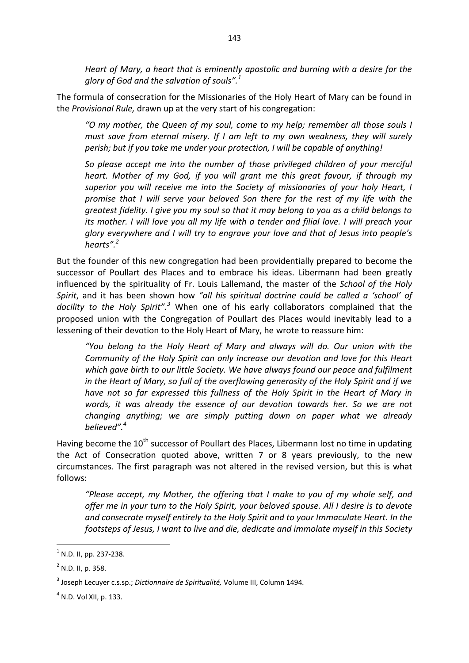*Heart of Mary, a heart that is eminently apostolic and burning with a desire for the glory of God and the salvation of souls".<sup>1</sup>* 

The formula of consecration for the Missionaries of the Holy Heart of Mary can be found in the *Provisional Rule,* drawn up at the very start of his congregation:

*"O my mother, the Queen of my soul, come to my help; remember all those souls I must save from eternal misery. If I am left to my own weakness, they will surely perish; but if you take me under your protection, I will be capable of anything!* 

*So please accept me into the number of those privileged children of your merciful heart. Mother of my God, if you will grant me this great favour, if through my superior you will receive me into the Society of missionaries of your holy Heart, I promise that I will serve your beloved Son there for the rest of my life with the greatest fidelity. I give you my soul so that it may belong to you as a child belongs to its mother. I will love you all my life with a tender and filial love. I will preach your glory everywhere and I will try to engrave your love and that of Jesus into people's hearts".<sup>2</sup>* 

But the founder of this new congregation had been providentially prepared to become the successor of Poullart des Places and to embrace his ideas. Libermann had been greatly influenced by the spirituality of Fr. Louis Lallemand, the master of the *School of the Holy Spirit*, and it has been shown how *"all his spiritual doctrine could be called a 'school' of docility to the Holy Spirit".<sup>3</sup>* When one of his early collaborators complained that the proposed union with the Congregation of Poullart des Places would inevitably lead to a lessening of their devotion to the Holy Heart of Mary, he wrote to reassure him:

*"You belong to the Holy Heart of Mary and always will do. Our union with the Community of the Holy Spirit can only increase our devotion and love for this Heart which gave birth to our little Society. We have always found our peace and fulfilment in the Heart of Mary, so full of the overflowing generosity of the Holy Spirit and if we have not so far expressed this fullness of the Holy Spirit in the Heart of Mary in words, it was already the essence of our devotion towards her. So we are not changing anything; we are simply putting down on paper what we already believed".<sup>4</sup>* 

Having become the  $10^{th}$  successor of Poullart des Places, Libermann lost no time in updating the Act of Consecration quoted above, written 7 or 8 years previously, to the new circumstances. The first paragraph was not altered in the revised version, but this is what follows:

*"Please accept, my Mother, the offering that I make to you of my whole self, and offer me in your turn to the Holy Spirit, your beloved spouse. All I desire is to devote and consecrate myself entirely to the Holy Spirit and to your Immaculate Heart. In the footsteps of Jesus, I want to live and die, dedicate and immolate myself in this Society* 

 $<sup>1</sup>$  N.D. II, pp. 237-238.</sup>

 $2$  N.D. II, p. 358.

<sup>3</sup> Joseph Lecuyer c.s.sp.; *Dictionnaire de Spiritualité,* Volume III, Column 1494*.* 

 $<sup>4</sup>$  N.D. Vol XII, p. 133.</sup>